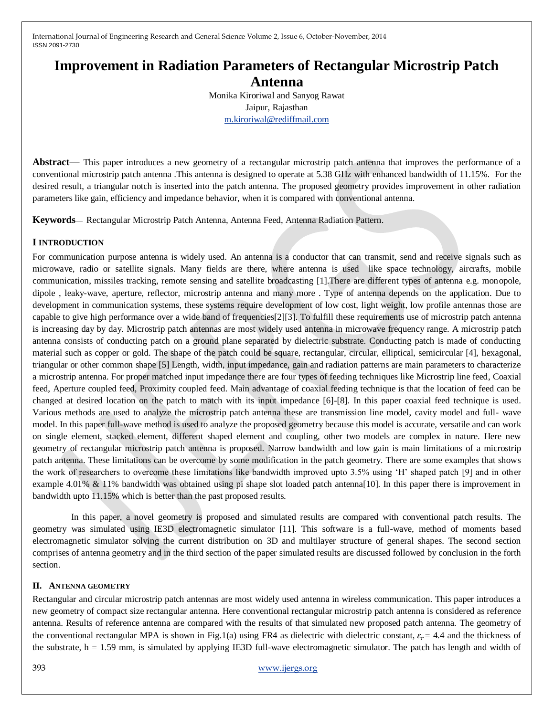# **Improvement in Radiation Parameters of Rectangular Microstrip Patch Antenna**

Monika Kiroriwal and Sanyog Rawat Jaipur, Rajasthan [m.kiroriwal@rediffmail.com](mailto:m.kiroriwal@rediffmail.com)

**Abstract**— This paper introduces a new geometry of a rectangular microstrip patch antenna that improves the performance of a conventional microstrip patch antenna .This antenna is designed to operate at 5.38 GHz with enhanced bandwidth of 11.15%. For the desired result, a triangular notch is inserted into the patch antenna. The proposed geometry provides improvement in other radiation parameters like gain, efficiency and impedance behavior, when it is compared with conventional antenna.

**Keywords**— Rectangular Microstrip Patch Antenna, Antenna Feed, Antenna Radiation Pattern.

## **I INTRODUCTION**

For communication purpose antenna is widely used. An antenna is a conductor that can transmit, send and receive signals such as microwave, radio or satellite signals. Many fields are there, where antenna is used like space technology, aircrafts, mobile communication, missiles tracking, remote sensing and satellite broadcasting [1].There are different types of antenna e.g. monopole, dipole , leaky-wave, aperture, reflector, microstrip antenna and many more . Type of antenna depends on the application. Due to development in communication systems, these systems require development of low cost, light weight, low profile antennas those are capable to give high performance over a wide band of frequencies[2][3]. To fulfill these requirements use of microstrip patch antenna is increasing day by day. Microstrip patch antennas are most widely used antenna in microwave frequency range. A microstrip patch antenna consists of conducting patch on a ground plane separated by dielectric substrate. Conducting patch is made of conducting material such as copper or gold. The shape of the patch could be square, rectangular, circular, elliptical, semicircular [4], hexagonal, triangular or other common shape [5] Length, width, input impedance, gain and radiation patterns are main parameters to characterize a microstrip antenna. For proper matched input impedance there are four types of feeding techniques like Microstrip line feed, Coaxial feed, Aperture coupled feed, Proximity coupled feed. Main advantage of coaxial feeding technique is that the location of feed can be changed at desired location on the patch to match with its input impedance [6]-[8]. In this paper coaxial feed technique is used. Various methods are used to analyze the microstrip patch antenna these are transmission line model, cavity model and full- wave model. In this paper full-wave method is used to analyze the proposed geometry because this model is accurate, versatile and can work on single element, stacked element, different shaped element and coupling, other two models are complex in nature. Here new geometry of rectangular microstrip patch antenna is proposed. Narrow bandwidth and low gain is main limitations of a microstrip patch antenna. These limitations can be overcome by some modification in the patch geometry. There are some examples that shows the work of researchers to overcome these limitations like bandwidth improved upto 3.5% using 'H' shaped patch [9] and in other example 4.01% & 11% bandwidth was obtained using pi shape slot loaded patch antenna[10]. In this paper there is improvement in bandwidth upto 11.15% which is better than the past proposed results.

 In this paper, a novel geometry is proposed and simulated results are compared with conventional patch results. The geometry was simulated using IE3D electromagnetic simulator [11]. This software is a full-wave, method of moments based electromagnetic simulator solving the current distribution on 3D and multilayer structure of general shapes. The second section comprises of antenna geometry and in the third section of the paper simulated results are discussed followed by conclusion in the forth section.

#### **II. ANTENNA GEOMETRY**

Rectangular and circular microstrip patch antennas are most widely used antenna in wireless communication. This paper introduces a new geometry of compact size rectangular antenna. Here conventional rectangular microstrip patch antenna is considered as reference antenna. Results of reference antenna are compared with the results of that simulated new proposed patch antenna. The geometry of the conventional rectangular MPA is shown in Fig.1(a) using FR4 as dielectric with dielectric constant,  $\varepsilon_r = 4.4$  and the thickness of the substrate,  $h = 1.59$  mm, is simulated by applying IE3D full-wave electromagnetic simulator. The patch has length and width of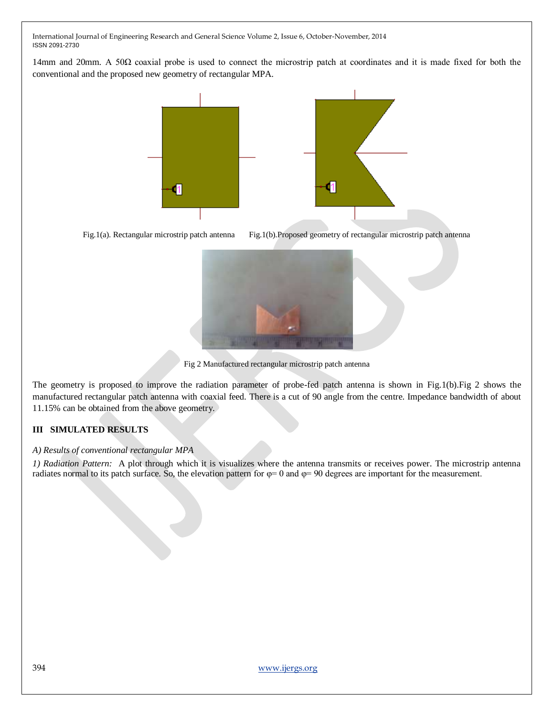14mm and 20mm. A 50Ω coaxial probe is used to connect the microstrip patch at coordinates and it is made fixed for both the conventional and the proposed new geometry of rectangular MPA.





Fig.1(a). Rectangular microstrip patch antenna Fig.1(b).Proposed geometry of rectangular microstrip patch antenna



Fig 2 Manufactured rectangular microstrip patch antenna

The geometry is proposed to improve the radiation parameter of probe-fed patch antenna is shown in Fig.1(b).Fig 2 shows the manufactured rectangular patch antenna with coaxial feed. There is a cut of 90 angle from the centre. Impedance bandwidth of about 11.15% can be obtained from the above geometry.

# **III SIMULATED RESULTS**

#### *A) Results of conventional rectangular MPA*

*1) Radiation Pattern:* A plot through which it is visualizes where the antenna transmits or receives power. The microstrip antenna radiates normal to its patch surface. So, the elevation pattern for  $\varphi = 0$  and  $\varphi = 90$  degrees are important for the measurement.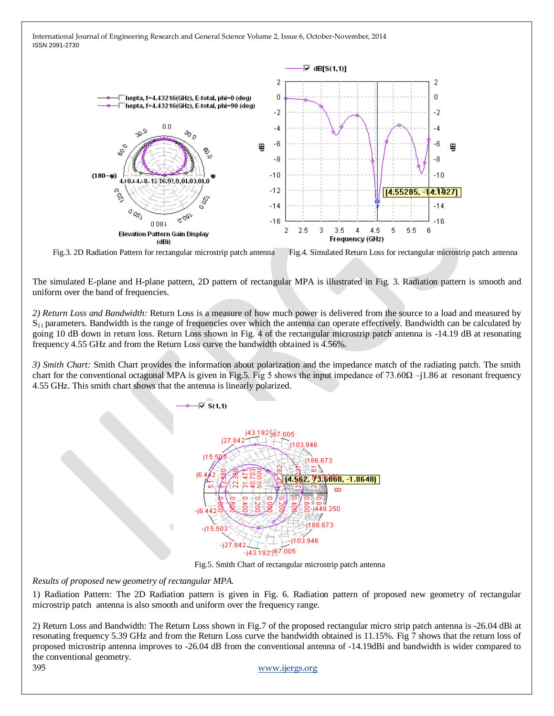

Fig.3. 2D Radiation Pattern for rectangular microstrip patch antenna Fig.4. Simulated Return Loss for rectangular microstrip patch antenna

The simulated E-plane and H-plane pattern, 2D pattern of rectangular MPA is illustrated in Fig. 3. Radiation pattern is smooth and uniform over the band of frequencies.

*2) Return Loss and Bandwidth:* Return Loss is a measure of how much power is delivered from the source to a load and measured by  $S_{11}$  parameters. Bandwidth is the range of frequencies over which the antenna can operate effectively. Bandwidth can be calculated by going 10 dB down in return loss. Return Loss shown in Fig. 4 of the rectangular microstrip patch antenna is -14.19 dB at resonating frequency 4.55 GHz and from the Return Loss curve the bandwidth obtained is 4.56%.

*3) Smith Chart:* Smith Chart provides the information about polarization and the impedance match of the radiating patch. The smith chart for the conventional octagonal MPA is given in Fig.5. Fig 5 shows the input impedance of 73.60 $\Omega$  –j1.86 at resonant frequency 4.55 GHz. This smith chart shows that the antenna is linearly polarized.



Fig.5. Smith Chart of rectangular microstrip patch antenna

*Results of proposed new geometry of rectangular MPA.*

1) Radiation Pattern: The 2D Radiation pattern is given in Fig. 6. Radiation pattern of proposed new geometry of rectangular microstrip patch antenna is also smooth and uniform over the frequency range.

2) Return Loss and Bandwidth: The Return Loss shown in Fig.7 of the proposed rectangular micro strip patch antenna is -26.04 dBi at resonating frequency 5.39 GHz and from the Return Loss curve the bandwidth obtained is 11.15%. Fig 7 shows that the return loss of proposed microstrip antenna improves to -26.04 dB from the conventional antenna of -14.19dBi and bandwidth is wider compared to the conventional geometry.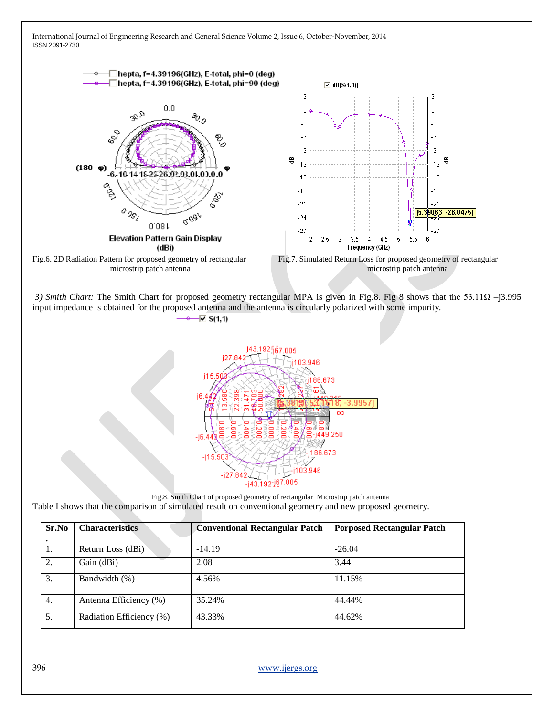

-j43.192-j67.005 Fig.8. Smith Chart of proposed geometry of rectangular Microstrip patch antenna Table I shows that the comparison of simulated result on conventional geometry and new proposed geometry. **Sr.No Characteristics Conventional Rectangular Patch Porposed Rectangular Patch .** 1. **Return Loss (dBi)** -14.19 -26.04 2. Gain (dBi) 2.08 3.44

-i27

3. Bandwidth (%) 4.56% 11.15% 4. Antenna Efficiency (%) 35.24% 44.44% 5. Radiation Efficiency (%) 43.33% 44.62%

396 [www.ijergs.org](http://www.ijergs.org/)

03.946